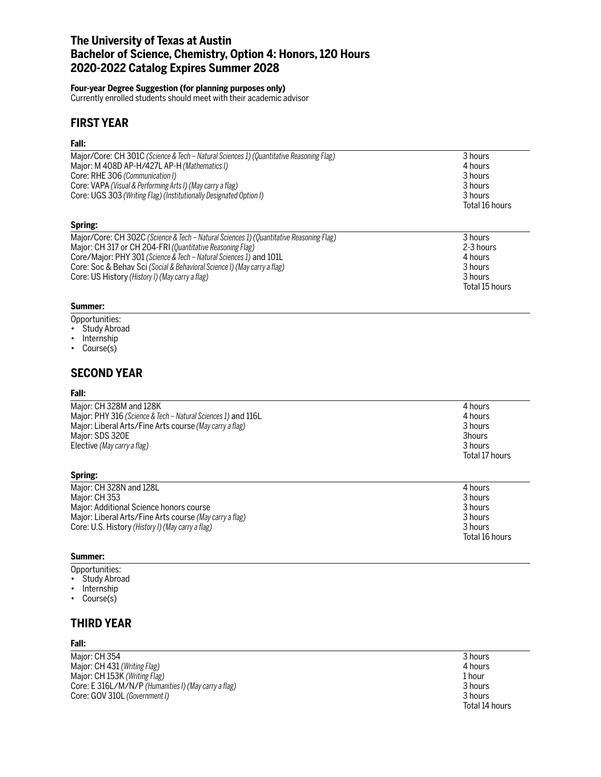# **The University of Texas at Austin Bachelor of Science, Chemistry, Option 4: Honors, 120 Hours 2020-2022 Catalog Expires Summer 2028**

### **Four-year Degree Suggestion (for planning purposes only)**

Currently enrolled students should meet with their academic advisor

# **FIRST YEAR**

### **Fall:**

| Major/Core: CH 301C (Science & Tech – Natural Sciences 1) (Quantitative Reasoning Flag) | 3 hours        |
|-----------------------------------------------------------------------------------------|----------------|
| Major: M 408D AP-H/427L AP-H (Mathematics I)                                            | 4 hours        |
| Core: RHE 306 (Communication I)                                                         | 3 hours        |
| Core: VAPA (Visual & Performing Arts I) (May carry a flag)                              | 3 hours        |
| Core: UGS 303 (Writing Flag) (Institutionally Designated Option I)                      | 3 hours        |
|                                                                                         | Total 16 hours |
| Spring:                                                                                 |                |
| Major/Core: CH 302C (Science & Tech – Natural Sciences 1) (Quantitative Reasoning Flag) | 3 hours        |
| Maior: CH 317 or CH 204-FRI (Quantitative Reasoning Flag)                               | 2-3 hours      |

| <b>INCLUTE: UTTOCLU</b> (SUCTIVE & TEGH – Natural SUCTIVES 1) (Qualiticative ReaSULTILIS FIGS) | J HUUI S       |
|------------------------------------------------------------------------------------------------|----------------|
| Major: CH 317 or CH 204-FRI (Quantitative Reasoning Flag)                                      | 2-3 hours      |
| Core/Major: PHY 301 (Science & Tech – Natural Sciences 1) and 101L                             | 4 hours        |
| Core: Soc & Behav Sci (Social & Behavioral Science I) (May carry a flag)                       | 3 hours        |
| Core: US History (History I) (May carry a flag)                                                | 3 hours        |
|                                                                                                | Total 15 hours |

### **Summer:**

- Opportunities:
- Study Abroad
- Internship
- Course(s)

## **SECOND YEAR**

### **Fall:**

| Major: CH 328M and 128K                                       | 4 hours        |
|---------------------------------------------------------------|----------------|
| Major: PHY 316 (Science & Tech - Natural Sciences 1) and 116L | 4 hours        |
| Major: Liberal Arts/Fine Arts course (May carry a flag)       | 3 hours        |
| Major: SDS 320E                                               | 3hours         |
| Elective (May carry a flag)                                   | 3 hours        |
|                                                               | Total 17 hours |

| Major: CH 328N and 128L                                 | 4 hours        |
|---------------------------------------------------------|----------------|
| Major: CH 353                                           | 3 hours        |
| Major: Additional Science honors course                 | 3 hours        |
| Major: Liberal Arts/Fine Arts course (May carry a flag) | 3 hours        |
| Core: U.S. History (History I) (May carry a flag)       | 3 hours        |
|                                                         | Total 16 hours |
|                                                         |                |

### **Summer:**

**Spring:**

- Opportunities:
- Study Abroad
- Internship
- Course(s)

# **THIRD YEAR**

### **Fall:**

Major: CH 354 3 hours Major: CH 431 *(Writing Flag)* 4 hours Major: CH 153K *(Writing Flag)* 1 hour Core: E 316L/M/N/P *(Humanities I) (May carry a flag)* 3 hours Core: GOV 310L *(Government I)*  $\sim$  3 hours 3 hours 3 hours 3 hours 3 hours 3 hours 3 hours 3 hours 3 hours 3 hours 3 hours 3 hours 3 hours 3 hours 3 hours 3 hours 3 hours 3 hours 3 hours 3 hours 3 hours 3 hours 3 hours 3

Total 14 hours